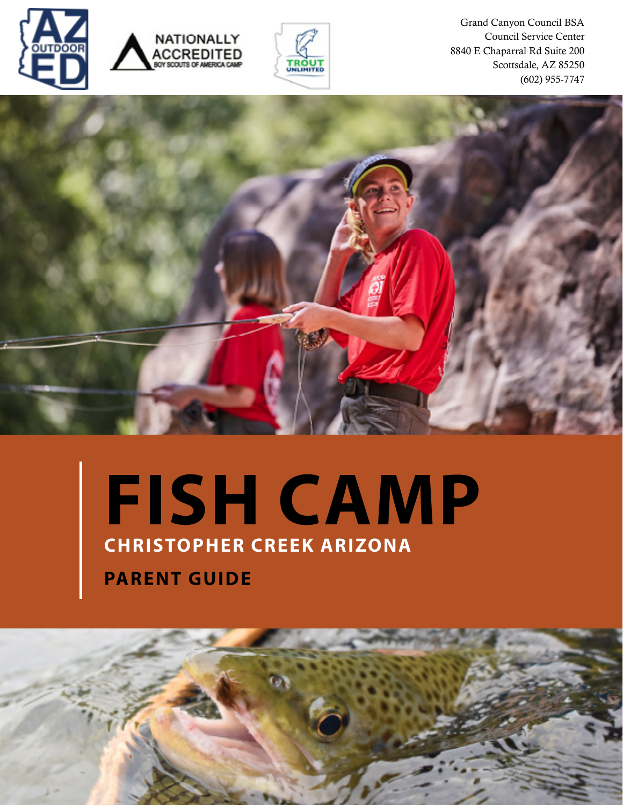





Grand Canyon Council BSA Council Service Center 8840 E Chaparral Rd Suite 200 Scottsdale, AZ 85250 (602) 955-7747



# **CHRISTOPHER CREEK ARIZONA FISH CAMP**

**PARENT GUIDE** 

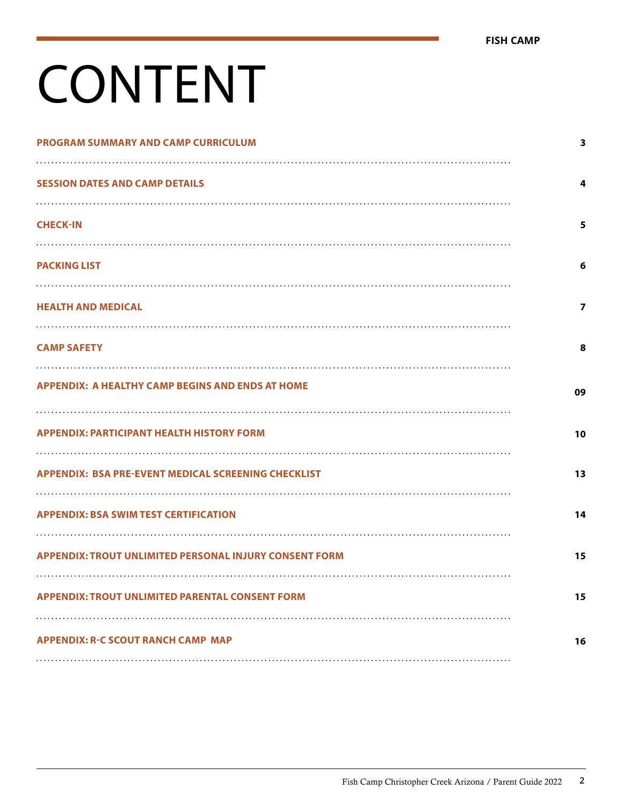# CONTENT

| PROGRAM SUMMARY AND CAMP CURRICULUM                           | 3                       |
|---------------------------------------------------------------|-------------------------|
| <b>SESSION DATES AND CAMP DETAILS</b>                         | 4                       |
| <b>CHECK-IN</b>                                               | 5                       |
| <b>PACKING LIST</b>                                           | 6                       |
| <b>HEALTH AND MEDICAL</b>                                     | $\overline{\mathbf{z}}$ |
| <b>CAMP SAFETY</b>                                            | 8                       |
| <b>APPENDIX: A HEALTHY CAMP BEGINS AND ENDS AT HOME</b>       | 09                      |
| <b>APPENDIX: PARTICIPANT HEALTH HISTORY FORM</b>              | 10                      |
| <b>APPENDIX: BSA PRE-EVENT MEDICAL SCREENING CHECKLIST</b>    | 13                      |
| <b>APPENDIX: BSA SWIM TEST CERTIFICATION</b>                  | 14                      |
| <b>APPENDIX: TROUT UNLIMITED PERSONAL INJURY CONSENT FORM</b> | 15                      |
| <b>APPENDIX: TROUT UNLIMITED PARENTAL CONSENT FORM</b>        | 15                      |
| <b>APPENDIX: R-C SCOUT RANCH CAMP MAP</b>                     | 16                      |
|                                                               |                         |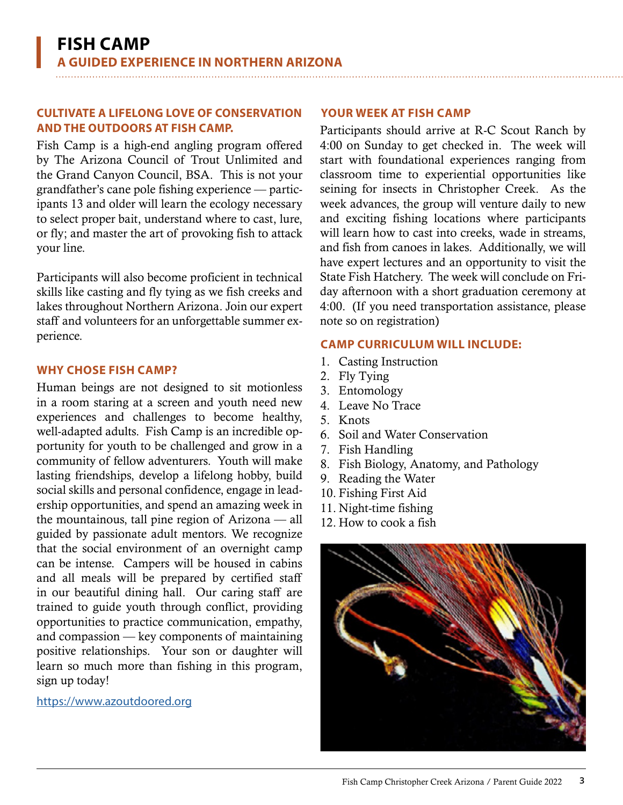#### <span id="page-2-0"></span>**CULTIVATE A LIFELONG LOVE OF CONSERVATION AND THE OUTDOORS AT FISH CAMP.** Participants should arrive at R-C Scout Ranch by

Fish Camp is a high-end angling program offered by The Arizona Council of Trout Unlimited and the Grand Canyon Council, BSA. This is not your grandfather's cane pole fishing experience — participants 13 and older will learn the ecology necessary to select proper bait, understand where to cast, lure, or fly; and master the art of provoking fish to attack your line.

Participants will also become proficient in technical skills like casting and fly tying as we fish creeks and lakes throughout Northern Arizona. Join our expert staff and volunteers for an unforgettable summer experience.

#### **WHY CHOSE FISH CAMP?**

Human beings are not designed to sit motionless in a room staring at a screen and youth need new experiences and challenges to become healthy, well-adapted adults. Fish Camp is an incredible opportunity for youth to be challenged and grow in a community of fellow adventurers. Youth will make lasting friendships, develop a lifelong hobby, build social skills and personal confidence, engage in leadership opportunities, and spend an amazing week in the mountainous, tall pine region of Arizona — all guided by passionate adult mentors. We recognize that the social environment of an overnight camp can be intense. Campers will be housed in cabins and all meals will be prepared by certified staff in our beautiful dining hall. Our caring staff are trained to guide youth through conflict, providing opportunities to practice communication, empathy, and compassion — key components of maintaining positive relationships. Your son or daughter will learn so much more than fishing in this program, sign up today!

#### [https://www.azoutdoored.org](https://www.azoutdoored.org/)

#### **YOUR WEEK AT FISH CAMP**

4:00 on Sunday to get checked in. The week will start with foundational experiences ranging from classroom time to experiential opportunities like seining for insects in Christopher Creek. As the week advances, the group will venture daily to new and exciting fishing locations where participants will learn how to cast into creeks, wade in streams, and fish from canoes in lakes. Additionally, we will have expert lectures and an opportunity to visit the State Fish Hatchery. The week will conclude on Friday afternoon with a short graduation ceremony at 4:00. (If you need transportation assistance, please note so on registration)

#### **CAMP CURRICULUM WILL INCLUDE:**

- 1. Casting Instruction
- 2. Fly Tying
- 3. Entomology
- 4. Leave No Trace
- 5. Knots
- 6. Soil and Water Conservation
- 7. Fish Handling
- 8. Fish Biology, Anatomy, and Pathology
- 9. Reading the Water
- 10. Fishing First Aid
- 11. Night-time fishing
- 12. How to cook a fish

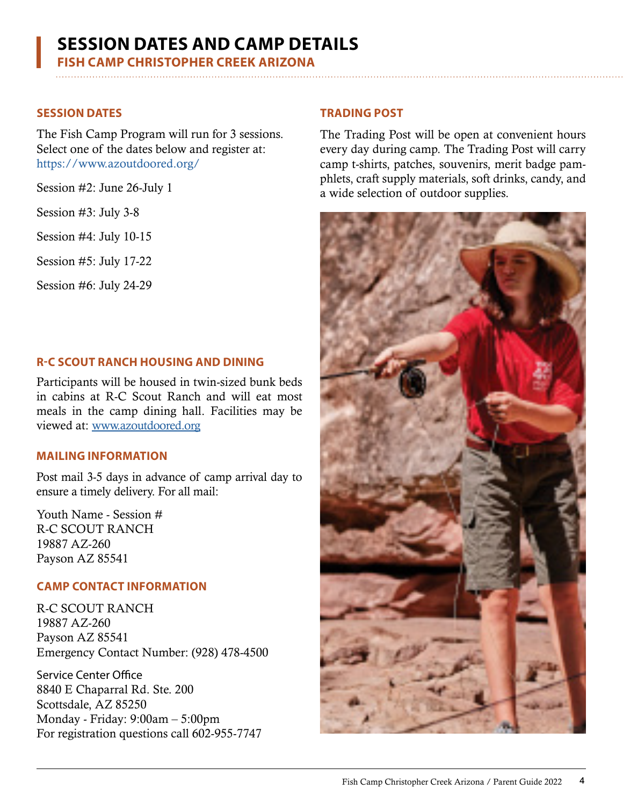## <span id="page-3-0"></span>**SESSION DATES AND CAMP DETAILS**

**FISH CAMP CHRISTOPHER CREEK ARIZONA**

#### **SESSION DATES**

The Fish Camp Program will run for 3 sessions. Select one of the dates below and register at: <https://www.azoutdoored.org/>

Session #2: June 26-July 1

Session #3: July 3-8

Session #4: July 10-15

Session #5: July 17-22

Session #6: July 24-29

#### **R-C SCOUT RANCH HOUSING AND DINING**

Participants will be housed in twin-sized bunk beds in cabins at R-C Scout Ranch and will eat most meals in the camp dining hall. Facilities may be viewed at: www.azoutdoored.org

#### **MAILING INFORMATION**

Post mail 3-5 days in advance of camp arrival day to ensure a timely delivery. For all mail:

Youth Name - Session # R-C SCOUT RANCH 19887 AZ-260 Payson AZ 85541

#### **CAMP CONTACT INFORMATION**

R-C SCOUT RANCH 19887 AZ-260 Payson AZ 85541 Emergency Contact Number: (928) 478-4500

Service Center Office 8840 E Chaparral Rd. Ste. 200 Scottsdale, AZ 85250 Monday - Friday: 9:00am – 5:00pm For registration questions call 602-955-7747

#### **TRADING POST**

The Trading Post will be open at convenient hours every day during camp. The Trading Post will carry camp t-shirts, patches, souvenirs, merit badge pamphlets, craft supply materials, soft drinks, candy, and a wide selection of outdoor supplies.

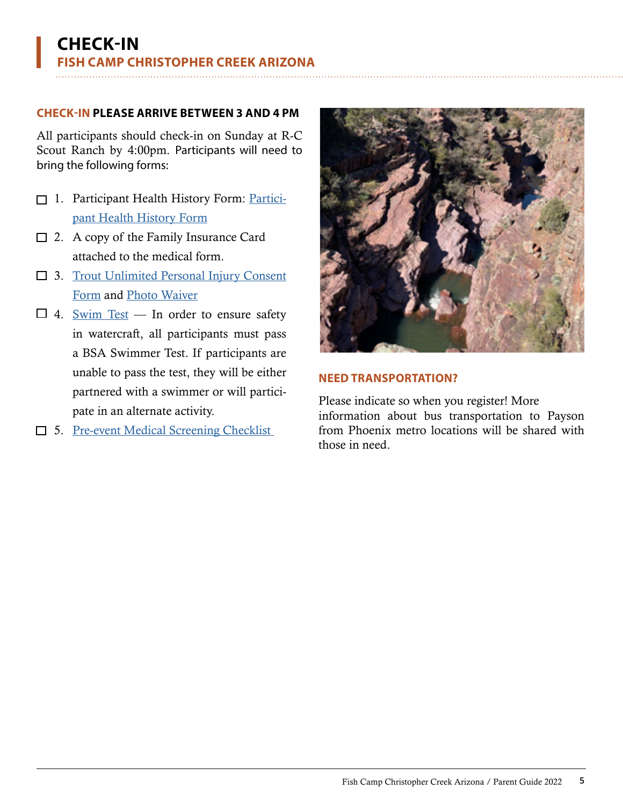#### <span id="page-4-0"></span>**CHECK-IN PLEASE ARRIVE BETWEEN 3 AND 4 PM**

All participants should check-in on Sunday at R-C Scout Ranch by 4:00pm. Participants will need to bring the following forms:

- 1. Participant Health History Form: Participant Health History Form
- □ 2. A copy of the Family Insurance Card attached to the medical form.
- □ 3. Trout Unlimited Personal Injury Consent [Form](#page-14-0) and [Photo Waiver](#page-14-0)
- $\Box$  4. [Swim Test](#page-13-0) In order to ensure safety in watercraft, all participants must pass a BSA Swimmer Test. If participants are unable to pass the test, they will be either partnered with a swimmer or will participate in an alternate activity.
- □ 5. <u>Pre-event Medical Screening Checklist</u>



#### **NEED TRANSPORTATION?**

Please indicate so when you register! More information about bus transportation to Payson from Phoenix metro locations will be shared with those in need.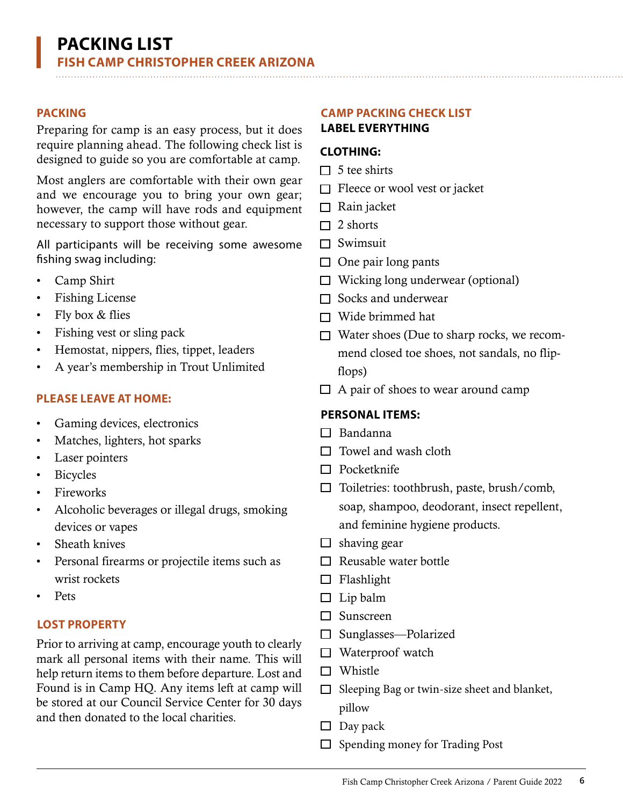Preparing for camp is an easy process, but it does require planning ahead. The following check list is designed to guide so you are comfortable at camp.

Most anglers are comfortable with their own gear and we encourage you to bring your own gear; however, the camp will have rods and equipment necessary to support those without gear.

All participants will be receiving some awesome fishing swag including:

- Camp Shirt
- Fishing License
- Fly box & flies
- Fishing vest or sling pack
- Hemostat, nippers, flies, tippet, leaders
- A year's membership in Trout Unlimited

#### **PLEASE LEAVE AT HOME:**

- Gaming devices, electronics
- Matches, lighters, hot sparks
- Laser pointers
- **Bicycles**
- Fireworks
- Alcoholic beverages or illegal drugs, smoking devices or vapes
- Sheath knives
- Personal firearms or projectile items such as wrist rockets
- Pets

#### **LOST PROPERTY**

Prior to arriving at camp, encourage youth to clearly mark all personal items with their name. This will help return items to them before departure. Lost and Found is in Camp HQ. Any items left at camp will be stored at our Council Service Center for 30 days and then donated to the local charities.

## <span id="page-5-0"></span>**PACKING CAMP PACKING CHECK LIST**

#### **LABEL EVERYTHING**

#### **CLOTHING:**

- $\Box$  5 tee shirts
- $\Box$  Fleece or wool vest or jacket
- $\Box$  Rain jacket
- $\Box$  2 shorts
- $\Box$  Swimsuit
- $\Box$  One pair long pants
- $\Box$  Wicking long underwear (optional)
- $\Box$  Socks and underwear
- $\Box$  Wide brimmed hat
- $\Box$  Water shoes (Due to sharp rocks, we recommend closed toe shoes, not sandals, no flipflops)
- $\Box$  A pair of shoes to wear around camp

#### **PERSONAL ITEMS:**

- $\Box$  Bandanna
- $\Box$  Towel and wash cloth
- $\Box$  Pocketknife
- $\Box$  Toiletries: toothbrush, paste, brush/comb, soap, shampoo, deodorant, insect repellent, and feminine hygiene products.
- $\Box$  shaving gear
- $\Box$  Reusable water bottle
- $\Box$  Flashlight
- $\Box$  Lip balm
- □ Sunscreen
- □ Sunglasses—Polarized
- $\Box$  Waterproof watch
- $\square$  Whistle
- $\Box$  Sleeping Bag or twin-size sheet and blanket, pillow
- $\Box$  Day pack
- $\Box$  Spending money for Trading Post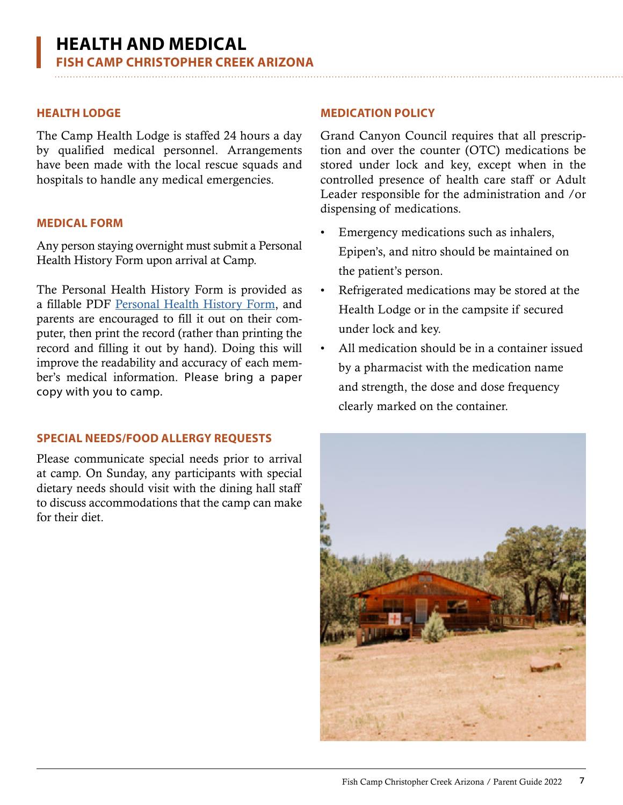The Camp Health Lodge is staffed 24 hours a day by qualified medical personnel. Arrangements have been made with the local rescue squads and hospitals to handle any medical emergencies.

#### **MEDICAL FORM**

Any person staying overnight must submit a Personal Health History Form upon arrival at Camp.

The Personal Health History Form is provided as a fillable PDF Personal Health History Form, and parents are encouraged to fill it out on their computer, then print the record (rather than printing the record and filling it out by hand). Doing this will improve the readability and accuracy of each member's medical information. Please bring a paper copy with you to camp.

#### **SPECIAL NEEDS/FOOD ALLERGY REQUESTS**

Please communicate special needs prior to arrival at camp. On Sunday, any participants with special dietary needs should visit with the dining hall staff to discuss accommodations that the camp can make for their diet.

#### <span id="page-6-0"></span>**HEALTH LODGE MEDICATION POLICY**

Grand Canyon Council requires that all prescription and over the counter (OTC) medications be stored under lock and key, except when in the controlled presence of health care staff or Adult Leader responsible for the administration and /or dispensing of medications.

- Emergency medications such as inhalers, Epipen's, and nitro should be maintained on the patient's person.
- Refrigerated medications may be stored at the Health Lodge or in the campsite if secured under lock and key.
- All medication should be in a container issued by a pharmacist with the medication name and strength, the dose and dose frequency clearly marked on the container.

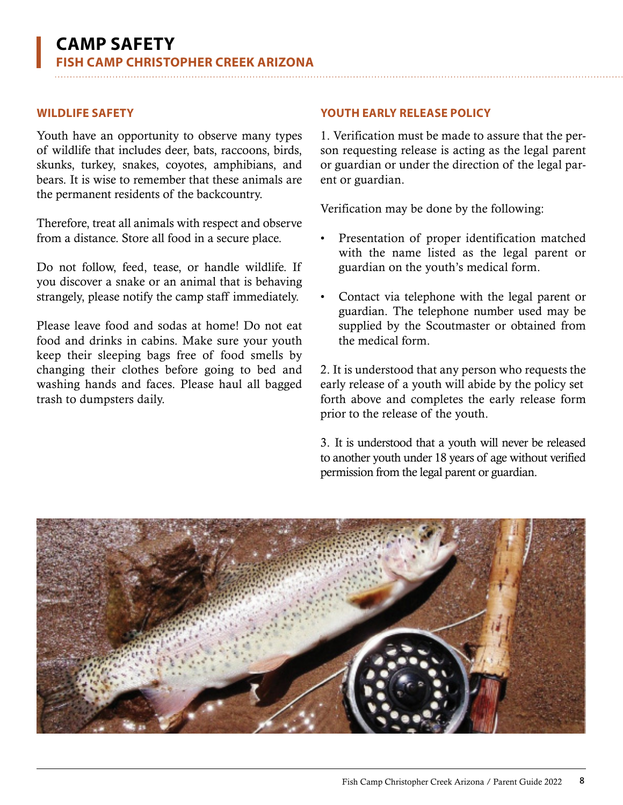Youth have an opportunity to observe many types of wildlife that includes deer, bats, raccoons, birds, skunks, turkey, snakes, coyotes, amphibians, and bears. It is wise to remember that these animals are the permanent residents of the backcountry.

Therefore, treat all animals with respect and observe from a distance. Store all food in a secure place.

Do not follow, feed, tease, or handle wildlife. If you discover a snake or an animal that is behaving strangely, please notify the camp staff immediately.

Please leave food and sodas at home! Do not eat food and drinks in cabins. Make sure your youth keep their sleeping bags free of food smells by changing their clothes before going to bed and washing hands and faces. Please haul all bagged trash to dumpsters daily.

#### <span id="page-7-0"></span>**WILDLIFE SAFETY YOUTH EARLY RELEASE POLICY**

1. Verification must be made to assure that the person requesting release is acting as the legal parent or guardian or under the direction of the legal parent or guardian.

Verification may be done by the following:

- Presentation of proper identification matched with the name listed as the legal parent or guardian on the youth's medical form.
- Contact via telephone with the legal parent or guardian. The telephone number used may be supplied by the Scoutmaster or obtained from the medical form.

2. It is understood that any person who requests the early release of a youth will abide by the policy set forth above and completes the early release form prior to the release of the youth.

3. It is understood that a youth will never be released to another youth under 18 years of age without verified permission from the legal parent or guardian.

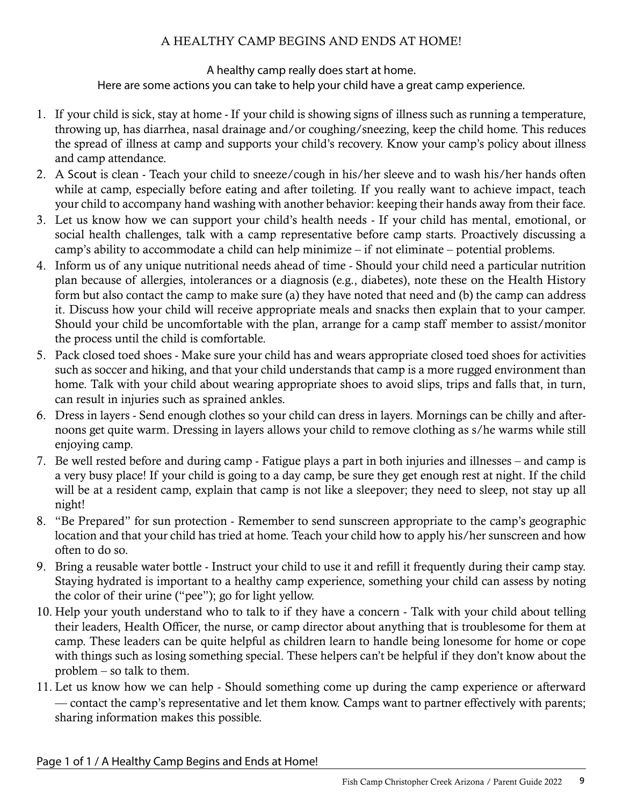### A HEALTHY CAMP BEGINS AND ENDS AT HOME!

#### A healthy camp really does start at home. Here are some actions you can take to help your child have a great camp experience.

- <span id="page-8-0"></span>1. If your child is sick, stay at home - If your child is showing signs of illness such as running a temperature, throwing up, has diarrhea, nasal drainage and/or coughing/sneezing, keep the child home. This reduces the spread of illness at camp and supports your child's recovery. Know your camp's policy about illness and camp attendance.
- 2. A Scout is clean Teach your child to sneeze/cough in his/her sleeve and to wash his/her hands often while at camp, especially before eating and after toileting. If you really want to achieve impact, teach your child to accompany hand washing with another behavior: keeping their hands away from their face.
- 3. Let us know how we can support your child's health needs If your child has mental, emotional, or social health challenges, talk with a camp representative before camp starts. Proactively discussing a camp's ability to accommodate a child can help minimize – if not eliminate – potential problems.
- 4. Inform us of any unique nutritional needs ahead of time Should your child need a particular nutrition plan because of allergies, intolerances or a diagnosis (e.g., diabetes), note these on the Health History form but also contact the camp to make sure (a) they have noted that need and (b) the camp can address it. Discuss how your child will receive appropriate meals and snacks then explain that to your camper. Should your child be uncomfortable with the plan, arrange for a camp staff member to assist/monitor the process until the child is comfortable.
- 5. Pack closed toed shoes Make sure your child has and wears appropriate closed toed shoes for activities such as soccer and hiking, and that your child understands that camp is a more rugged environment than home. Talk with your child about wearing appropriate shoes to avoid slips, trips and falls that, in turn, can result in injuries such as sprained ankles.
- 6. Dress in layers Send enough clothes so your child can dress in layers. Mornings can be chilly and afternoons get quite warm. Dressing in layers allows your child to remove clothing as s/he warms while still enjoying camp.
- 7. Be well rested before and during camp Fatigue plays a part in both injuries and illnesses and camp is a very busy place! If your child is going to a day camp, be sure they get enough rest at night. If the child will be at a resident camp, explain that camp is not like a sleepover; they need to sleep, not stay up all night!
- 8. "Be Prepared" for sun protection Remember to send sunscreen appropriate to the camp's geographic location and that your child has tried at home. Teach your child how to apply his/her sunscreen and how often to do so.
- 9. Bring a reusable water bottle Instruct your child to use it and refill it frequently during their camp stay. Staying hydrated is important to a healthy camp experience, something your child can assess by noting the color of their urine ("pee"); go for light yellow.
- 10. Help your youth understand who to talk to if they have a concern Talk with your child about telling their leaders, Health Officer, the nurse, or camp director about anything that is troublesome for them at camp. These leaders can be quite helpful as children learn to handle being lonesome for home or cope with things such as losing something special. These helpers can't be helpful if they don't know about the problem – so talk to them.
- 11. Let us know how we can help Should something come up during the camp experience or afterward –– contact the camp's representative and let them know. Camps want to partner effectively with parents; sharing information makes this possible.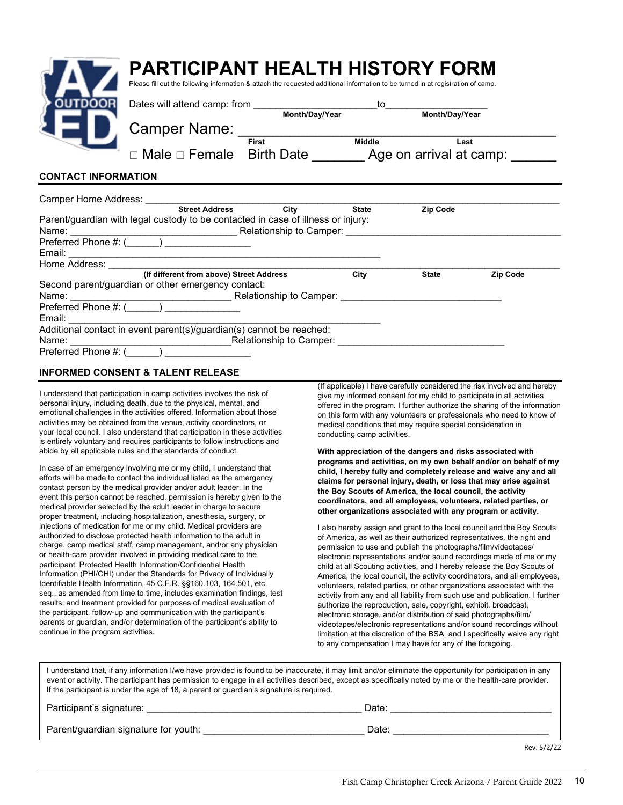|                            | PARTICIPANT HEALTH HISTORY FORM<br>Please fill out the following information & attach the requested additional information to be turned in at registration of camp.                                                            |                         |              |                                                                                                                                 |                 |
|----------------------------|--------------------------------------------------------------------------------------------------------------------------------------------------------------------------------------------------------------------------------|-------------------------|--------------|---------------------------------------------------------------------------------------------------------------------------------|-----------------|
| <b>DUTDOOR</b>             |                                                                                                                                                                                                                                |                         |              | $\overline{10}$ $\overline{10}$ $\overline{10}$ $\overline{10}$ $\overline{10}$ $\overline{10}$ $\overline{10}$ $\overline{10}$ |                 |
|                            | Camper Name: _                                                                                                                                                                                                                 |                         |              | Month/Day/Year                                                                                                                  |                 |
|                            | Male □ Female Birth Date Age on arrival at camp:                                                                                                                                                                               | Middle<br>First         |              | Last                                                                                                                            |                 |
| <b>CONTACT INFORMATION</b> |                                                                                                                                                                                                                                |                         |              |                                                                                                                                 |                 |
|                            | Camper Home Address: Camper Home Address:                                                                                                                                                                                      |                         |              |                                                                                                                                 |                 |
|                            | Street Address City                                                                                                                                                                                                            |                         | <b>State</b> | <b>Zip Code</b>                                                                                                                 |                 |
|                            | Parent/guardian with legal custody to be contacted in case of illness or injury:                                                                                                                                               |                         |              |                                                                                                                                 |                 |
|                            |                                                                                                                                                                                                                                |                         |              |                                                                                                                                 |                 |
|                            | Preferred Phone #: (_____) _________________                                                                                                                                                                                   |                         |              |                                                                                                                                 |                 |
| Email:                     |                                                                                                                                                                                                                                |                         |              |                                                                                                                                 |                 |
|                            | Home Address: North States and States and States and States and States and States and States and States and States and States and States and States and States and States and States and States and States and States and Stat |                         |              |                                                                                                                                 |                 |
|                            | (If different from above) Street Address                                                                                                                                                                                       |                         | City         | <b>State</b>                                                                                                                    | <b>Zip Code</b> |
|                            | Second parent/guardian or other emergency contact:                                                                                                                                                                             |                         |              |                                                                                                                                 |                 |
| Name:                      |                                                                                                                                                                                                                                | Relationship to Camper: |              |                                                                                                                                 |                 |

| Pielelled Phone #. (                                                 |                         |
|----------------------------------------------------------------------|-------------------------|
| Email:                                                               |                         |
| Additional contact in event parent(s)/guardian(s) cannot be reached: |                         |
| Name:                                                                | Relationship to Camper: |
| Preferred Phone #: (                                                 |                         |

#### **INFORMED CONSENT & TALENT RELEASE**

Preferred Phone #: (\_\_\_\_\_\_) \_\_\_\_\_\_\_\_\_\_\_\_\_\_

I understand that participation in camp activities involves the risk of personal injury, including death, due to the physical, mental, and emotional challenges in the activities offered. Information about those activities may be obtained from the venue, activity coordinators, or your local council. I also understand that participation in these activities is entirely voluntary and requires participants to follow instructions and abide by all applicable rules and the standards of conduct.

In case of an emergency involving me or my child, I understand that efforts will be made to contact the individual listed as the emergency contact person by the medical provider and/or adult leader. In the event this person cannot be reached, permission is hereby given to the medical provider selected by the adult leader in charge to secure proper treatment, including hospitalization, anesthesia, surgery, or injections of medication for me or my child. Medical providers are authorized to disclose protected health information to the adult in charge, camp medical staff, camp management, and/or any physician or health-care provider involved in providing medical care to the participant. Protected Health Information/Confidential Health Information (PHI/CHI) under the Standards for Privacy of Individually Identifiable Health Information, 45 C.F.R. §§160.103, 164.501, etc. seq., as amended from time to time, includes examination findings, test results, and treatment provided for purposes of medical evaluation of the participant, follow-up and communication with the participant's parents or guardian, and/or determination of the participant's ability to continue in the program activities.

(If applicable) I have carefully considered the risk involved and hereby give my informed consent for my child to participate in all activities offered in the program. I further authorize the sharing of the information on this form with any volunteers or professionals who need to know of medical conditions that may require special consideration in conducting camp activities.

**With appreciation of the dangers and risks associated with programs and activities, on my own behalf and/or on behalf of my child, I hereby fully and completely release and waive any and all claims for personal injury, death, or loss that may arise against the Boy Scouts of America, the local council, the activity coordinators, and all employees, volunteers, related parties, or other organizations associated with any program or activity.**

I also hereby assign and grant to the local council and the Boy Scouts of America, as well as their authorized representatives, the right and permission to use and publish the photographs/film/videotapes/ electronic representations and/or sound recordings made of me or my child at all Scouting activities, and I hereby release the Boy Scouts of America, the local council, the activity coordinators, and all employees, volunteers, related parties, or other organizations associated with the activity from any and all liability from such use and publication. I further authorize the reproduction, sale, copyright, exhibit, broadcast, electronic storage, and/or distribution of said photographs/film/ videotapes/electronic representations and/or sound recordings without limitation at the discretion of the BSA, and I specifically waive any right to any compensation I may have for any of the foregoing.

I understand that, if any information I/we have provided is found to be inaccurate, it may limit and/or eliminate the opportunity for participation in any event or activity. The participant has permission to engage in all activities described, except as specifically noted by me or the health-care provider. If the participant is under the age of 18, a parent or guardian's signature is required.

| Participant's signature:             | Date:       |  |
|--------------------------------------|-------------|--|
| Parent/guardian signature for youth: | Date:       |  |
|                                      | Rev. 5/2/22 |  |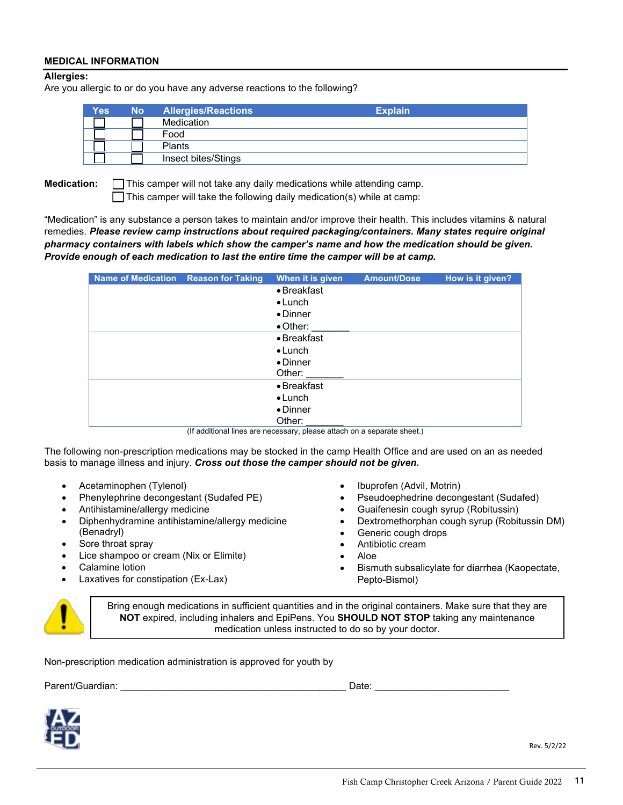#### **MEDICAL INFORMATION**

#### **Allergies:**

Are you allergic to or do you have any adverse reactions to the following?

| <b>Yes</b> | <b>No</b> | <b>Allergies/Reactions</b> | <b>Explain</b> |  |
|------------|-----------|----------------------------|----------------|--|
|            |           | Medication                 |                |  |
|            |           | Food                       |                |  |
|            |           | Plants                     |                |  |
|            |           | Insect bites/Stings        |                |  |

**Medication:** This camper will not take any daily medications while attending camp.

 $\Box$  This camper will take the following daily medication(s) while at camp:

"Medication" is any substance a person takes to maintain and/or improve their health. This includes vitamins & natural remedies. *Please review camp instructions about required packaging/containers. Many states require original pharmacy containers with labels which show the camper's name and how the medication should be given. Provide enough of each medication to last the entire time the camper will be at camp.*

| Name of Medication Reason for Taking | When it is given    | <b>Amount/Dose</b> | How is it given? |
|--------------------------------------|---------------------|--------------------|------------------|
|                                      | $\bullet$ Breakfast |                    |                  |
|                                      | $\bullet$ Lunch     |                    |                  |
|                                      | $\bullet$ Dinner    |                    |                  |
|                                      | $\bullet$ Other:    |                    |                  |
|                                      | $\bullet$ Breakfast |                    |                  |
|                                      | $\bullet$ Lunch     |                    |                  |
|                                      | $\bullet$ Dinner    |                    |                  |
|                                      | Other:              |                    |                  |
|                                      | $\bullet$ Breakfast |                    |                  |
|                                      | $\bullet$ Lunch     |                    |                  |
|                                      | $\bullet$ Dinner    |                    |                  |
|                                      | Other:              |                    |                  |

(If additional lines are necessary, please attach on a separate sheet.)

The following non-prescription medications may be stocked in the camp Health Office and are used on an as needed basis to manage illness and injury. *Cross out those the camper should not be given.*

- Acetaminophen (Tylenol)
- Phenylephrine decongestant (Sudafed PE)
- Antihistamine/allergy medicine
- Diphenhydramine antihistamine/allergy medicine (Benadryl)
- Sore throat spray
- Lice shampoo or cream (Nix or Elimite)
- Calamine lotion
- Laxatives for constipation (Ex-Lax)
- Ibuprofen (Advil, Motrin)
- Pseudoephedrine decongestant (Sudafed)
- Guaifenesin cough syrup (Robitussin)
- Dextromethorphan cough syrup (Robitussin DM)
- Generic cough drops
- Antibiotic cream
- Aloe
- Bismuth subsalicylate for diarrhea (Kaopectate, Pepto-Bismol)



Bring enough medications in sufficient quantities and in the original containers. Make sure that they are **NOT** expired, including inhalers and EpiPens. You **SHOULD NOT STOP** taking any maintenance medication unless instructed to do so by your doctor.

Non-prescription medication administration is approved for youth by

Parent/Guardian: \_\_\_\_\_\_\_\_\_\_\_\_\_\_\_\_\_\_\_\_\_\_\_\_\_\_\_\_\_\_\_\_\_\_\_\_\_\_\_\_\_\_ Date: \_\_\_\_\_\_\_\_\_\_\_\_\_\_\_\_\_\_\_\_\_\_\_\_\_



Rev. 5/2/22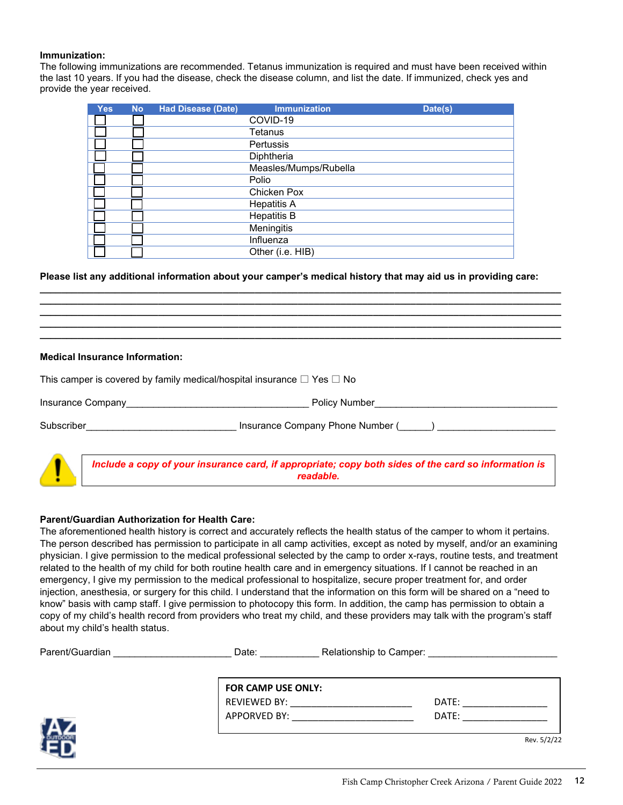#### **Immunization:**

The following immunizations are recommended. Tetanus immunization is required and must have been received within the last 10 years. If you had the disease, check the disease column, and list the date. If immunized, check yes and provide the year received.

| <b>Yes</b> | <b>No</b> | <b>Had Disease (Date)</b> | <b>Immunization</b>   | Date(s) |
|------------|-----------|---------------------------|-----------------------|---------|
|            |           |                           | COVID-19              |         |
|            |           |                           | Tetanus               |         |
|            |           |                           | <b>Pertussis</b>      |         |
|            |           |                           | Diphtheria            |         |
|            |           |                           | Measles/Mumps/Rubella |         |
|            |           |                           | Polio                 |         |
|            |           |                           | Chicken Pox           |         |
|            |           |                           | <b>Hepatitis A</b>    |         |
|            |           |                           | <b>Hepatitis B</b>    |         |
|            |           |                           | Meningitis            |         |
|            |           |                           | Influenza             |         |
|            |           |                           | Other (i.e. HIB)      |         |

**Please list any additional information about your camper's medical history that may aid us in providing care:**

**\_\_\_\_\_\_\_\_\_\_\_\_\_\_\_\_\_\_\_\_\_\_\_\_\_\_\_\_\_\_\_\_\_\_\_\_\_\_\_\_\_\_\_\_\_\_\_\_\_\_\_\_\_\_\_\_\_\_\_\_\_\_\_\_\_\_\_\_\_\_\_\_\_\_\_\_\_\_\_\_\_\_\_\_\_\_\_\_\_\_\_\_\_\_\_\_\_ \_\_\_\_\_\_\_\_\_\_\_\_\_\_\_\_\_\_\_\_\_\_\_\_\_\_\_\_\_\_\_\_\_\_\_\_\_\_\_\_\_\_\_\_\_\_\_\_\_\_\_\_\_\_\_\_\_\_\_\_\_\_\_\_\_\_\_\_\_\_\_\_\_\_\_\_\_\_\_\_\_\_\_\_\_\_\_\_\_\_\_\_\_\_\_\_\_ \_\_\_\_\_\_\_\_\_\_\_\_\_\_\_\_\_\_\_\_\_\_\_\_\_\_\_\_\_\_\_\_\_\_\_\_\_\_\_\_\_\_\_\_\_\_\_\_\_\_\_\_\_\_\_\_\_\_\_\_\_\_\_\_\_\_\_\_\_\_\_\_\_\_\_\_\_\_\_\_\_\_\_\_\_\_\_\_\_\_\_\_\_\_\_\_\_ \_\_\_\_\_\_\_\_\_\_\_\_\_\_\_\_\_\_\_\_\_\_\_\_\_\_\_\_\_\_\_\_\_\_\_\_\_\_\_\_\_\_\_\_\_\_\_\_\_\_\_\_\_\_\_\_\_\_\_\_\_\_\_\_\_\_\_\_\_\_\_\_\_\_\_\_\_\_\_\_\_\_\_\_\_\_\_\_\_\_\_\_\_\_\_\_\_ \_\_\_\_\_\_\_\_\_\_\_\_\_\_\_\_\_\_\_\_\_\_\_\_\_\_\_\_\_\_\_\_\_\_\_\_\_\_\_\_\_\_\_\_\_\_\_\_\_\_\_\_\_\_\_\_\_\_\_\_\_\_\_\_\_\_\_\_\_\_\_\_\_\_\_\_\_\_\_\_\_\_\_\_\_\_\_\_\_\_\_\_\_\_\_\_\_**

#### **Medical Insurance Information:**

| This camper is covered by family medical/hospital insurance $\square$ Yes $\square$ No |                                                                                                                   |  |  |  |
|----------------------------------------------------------------------------------------|-------------------------------------------------------------------------------------------------------------------|--|--|--|
|                                                                                        | Insurance Company<br>Policy Number                                                                                |  |  |  |
| Subscriber                                                                             | Insurance Company Phone Number ()                                                                                 |  |  |  |
|                                                                                        | Include a copy of your insurance card, if appropriate; copy both sides of the card so information is<br>readable. |  |  |  |

#### **Parent/Guardian Authorization for Health Care:**

The aforementioned health history is correct and accurately reflects the health status of the camper to whom it pertains. The person described has permission to participate in all camp activities, except as noted by myself, and/or an examining physician. I give permission to the medical professional selected by the camp to order x-rays, routine tests, and treatment related to the health of my child for both routine health care and in emergency situations. If I cannot be reached in an emergency, I give my permission to the medical professional to hospitalize, secure proper treatment for, and order injection, anesthesia, or surgery for this child. I understand that the information on this form will be shared on a "need to know" basis with camp staff. I give permission to photocopy this form. In addition, the camp has permission to obtain a copy of my child's health record from providers who treat my child, and these providers may talk with the program's staff about my child's health status.

| FOR CAMP USE ONLY: |       |
|--------------------|-------|
| REVIEWED BY:       | DATE: |
| APPORVED BY:       | DATE: |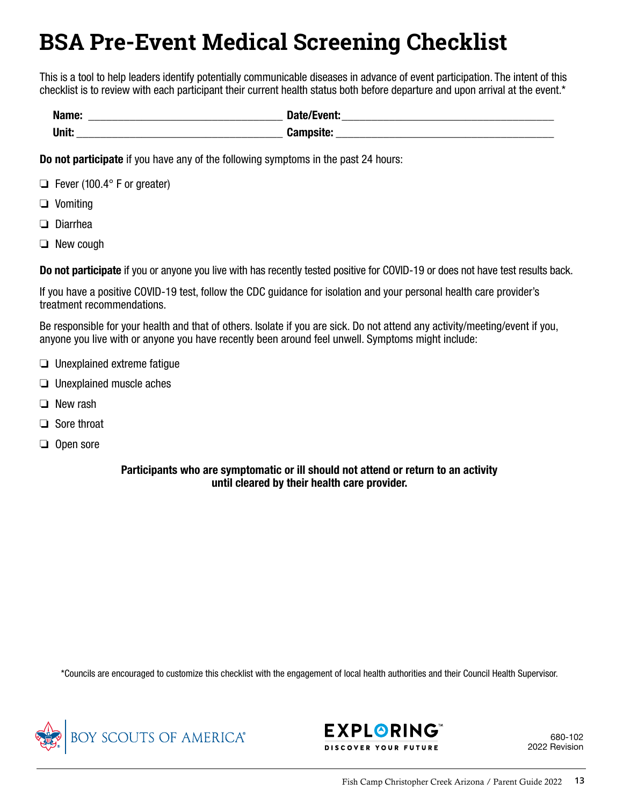# <span id="page-12-0"></span>**BSA Pre-Event Medical Screening Checklist**

This is a tool to help leaders identify potentially communicable diseases in advance of event participation. The intent of this checklist is to review with each participant their current health status both before departure and upon arrival at the event.\*

| Name: | Date/Event:      |
|-------|------------------|
| Unit. | <b>Campsite:</b> |

Do not participate if you have any of the following symptoms in the past 24 hours:

- ❏ Fever (100.4° F or greater)
- ❏ Vomiting
- ❏ Diarrhea
- ❏ New cough

Do not participate if you or anyone you live with has recently tested positive for COVID-19 or does not have test results back.

If you have a positive COVID-19 test, follow the CDC guidance for isolation and your personal health care provider's treatment recommendations.

Be responsible for your health and that of others. Isolate if you are sick. Do not attend any activity/meeting/event if you, anyone you live with or anyone you have recently been around feel unwell. Symptoms might include:

- ❏ Unexplained extreme fatigue
- ❏ Unexplained muscle aches
- ❏ New rash
- ❏ Sore throat
- ❏ Open sore

#### Participants who are symptomatic or ill should not attend or return to an activity until cleared by their health care provider.

\*Councils are encouraged to customize this checklist with the engagement of local health authorities and their Council Health Supervisor.





680-102 2022 Revision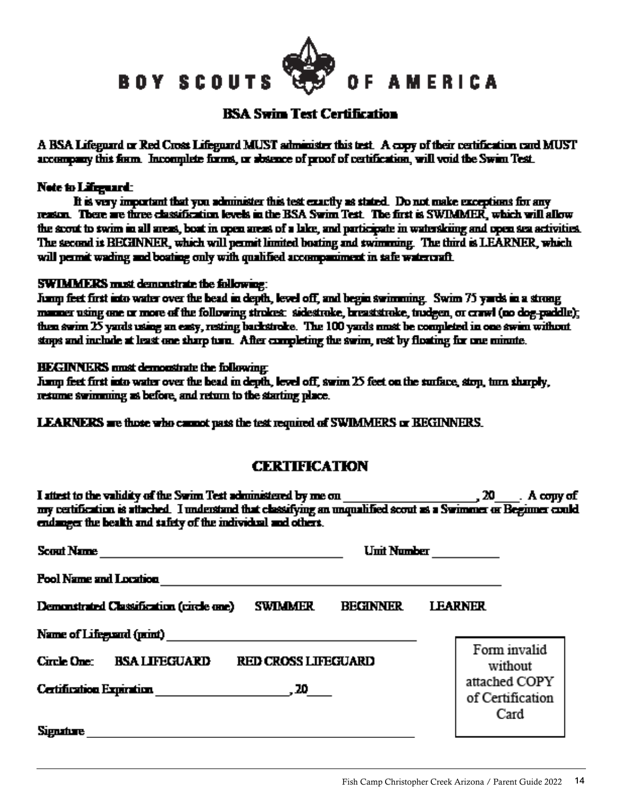<span id="page-13-0"></span>BOY SCOUTS

### **BSA Swim Test Certification**

**AMERICA** 

A BSA Lifeguard or Red Cross Lifeguard MUST administer this test. A copy of their certification card MUST accompany this form. Incomplete forms, or absence of proof of certification, will void the Swim Test.

#### Note to Lifeguard:

It is very important that you administer this test exactly as stated. Do not make exceptions for any reason. There are three classification levels in the BSA Swim Test. The first is SWIMMER, which will allow the scout to swim in all areas, boat in open areas of a lake, and participate in waterskiing and open sea activities. The second is BECHNNER, which will permit limited boating and swimming. The third is LEARNER, which will permit wading and boating only with qualified accompaniment in tafe watercraft.

#### **SWIMMERS** must demonstrate the following:

Jump feet first into water over the bead in depth, level off, and begin swimming. Swim 75 yards in a strong manner using one or more of the following strokes: sidestroke, breaststroke, trudgen, or crawl (no dog-paddle); then swim  $25$  yards using an easy, resting backstroke. The 100 yards nust be completed in one swim without stops and include at least one sharp turn. After completing the swim, rest by floating for one minute.

#### **HEGINNERS** must demonstrate the following:

Jump feet first into water over the bead in depth, level off, swim  $25$  feet on the surface, stop, turn sharply, resume swimming as before, and return to the starting place.

**LEARNERS** are those who cannot pass the test required of SWIMMERS or BEGINNERS.

## **CERTIFICATION**

I attest to the validity of the Swim Test administered by me on 20 . Αι coπινισε my certification is attached. I understand that classifying an unqualified scout as a Swimmer or Beginner could endanger the bealth and safety of the individual and others.

| Umit Number<br>Scout Name                                                     |                                           |
|-------------------------------------------------------------------------------|-------------------------------------------|
| <b>Pool Name and Location</b>                                                 |                                           |
| <b>BECHNNER</b><br><b>SWIMMER</b><br>Demonstrated Classification (circle one) | <b>LEARNER</b>                            |
| <b>BSA LIFEGUARD</b><br><b>RED CROSS LIFEGUARD</b><br>Circle One:             | Form invalid<br>without                   |
| Certification Expiration (20 19) 20                                           | attached COPY<br>of Certification<br>Card |
| <b>Signature</b>                                                              |                                           |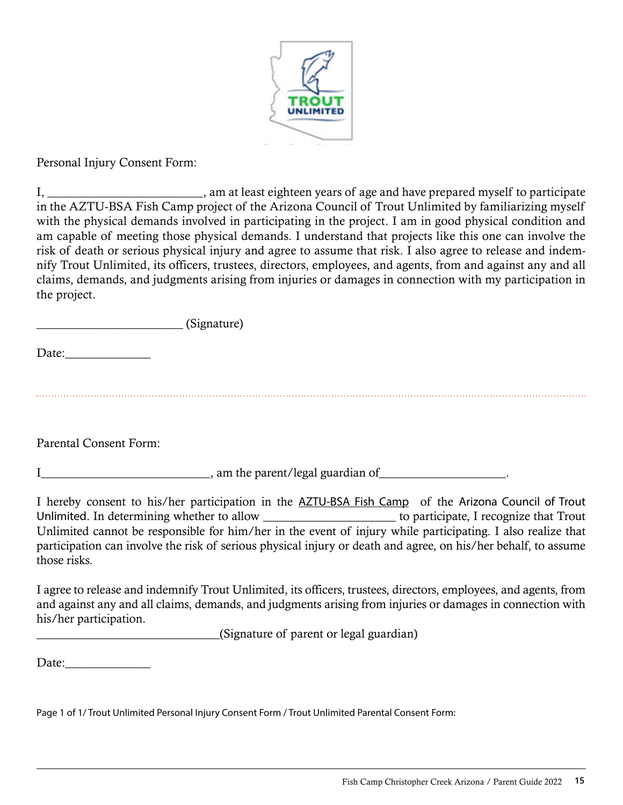

<span id="page-14-0"></span>Personal Injury Consent Form:

I, am at least eighteen years of age and have prepared myself to participate in the AZTU-BSA Fish Camp project of the Arizona Council of Trout Unlimited by familiarizing myself with the physical demands involved in participating in the project. I am in good physical condition and am capable of meeting those physical demands. I understand that projects like this one can involve the risk of death or serious physical injury and agree to assume that risk. I also agree to release and indemnify Trout Unlimited, its officers, trustees, directors, employees, and agents, from and against any and all claims, demands, and judgments arising from injuries or damages in connection with my participation in the project.

\_\_\_\_\_\_\_\_\_\_\_\_\_\_\_\_\_\_\_\_\_\_\_\_ (Signature)

Date:

Parental Consent Form:

I\_\_\_\_\_\_\_\_\_\_\_\_\_\_\_\_\_\_\_\_\_\_\_\_\_\_\_\_, am the parent/legal guardian of\_\_\_\_\_\_\_\_\_\_\_\_\_\_\_\_\_\_\_\_\_.

I hereby consent to his/her participation in the AZTU-BSA Fish Camp of the Arizona Council of Trout Unlimited. In determining whether to allow \_\_\_\_\_\_\_\_\_\_\_\_\_\_\_\_\_\_\_\_\_\_ to participate, I recognize that Trout Unlimited cannot be responsible for him/her in the event of injury while participating. I also realize that participation can involve the risk of serious physical injury or death and agree, on his/her behalf, to assume those risks.

I agree to release and indemnify Trout Unlimited, its officers, trustees, directors, employees, and agents, from and against any and all claims, demands, and judgments arising from injuries or damages in connection with his/her participation.

\_\_\_\_\_\_\_\_\_\_\_\_\_\_\_\_\_\_\_\_\_\_\_\_\_\_\_\_\_\_(Signature of parent or legal guardian)

Date:

Page 1 of 1/ Trout Unlimited Personal Injury Consent Form / Trout Unlimited Parental Consent Form: